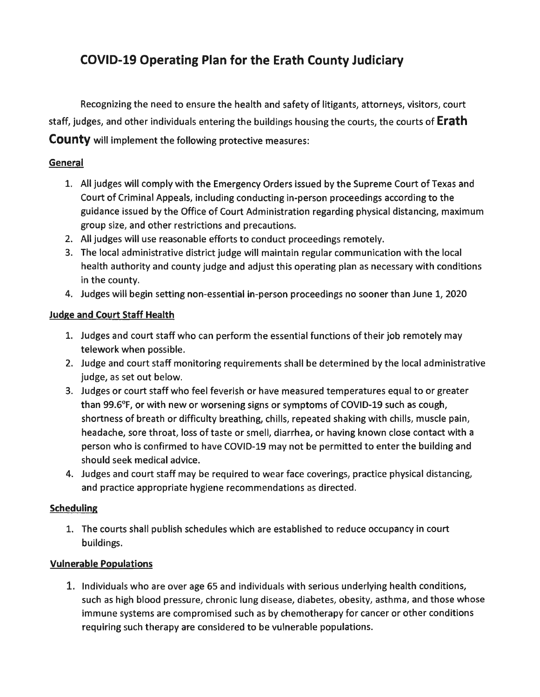# **COVID-19 Operating Plan for the Erath County Judiciary**

Recognizing the need to ensure the health and safety of litigants, attorneys, visitors, court staff, judges, and other individuals entering the buildings housing the courts, the courts of **Erath County** will implement the following protective measures:

## **General**

- 1. All judges will comply with the Emergency Orders issued by the Supreme Court of Texas and Court of Criminal Appeals, including conducting in-person proceedings according to the guidance issued by the Office of Court Administration regarding physical distancing, maximum group size, and other restrictions and precautions.
- 2. All judges will use reasonable efforts to conduct proceedings remotely.
- 3. The local administrative district judge will maintain regular communication with the local health authority and county judge and adjust this operating plan as necessary with conditions in the county.
- 4. Judges will begin setting non-essential in-person proceedings no sooner than June 1, 2020

## **Judge and Court Staff Health**

- 1. Judges and court staff who can perform the essential functions of their job remotely may telework when possible.
- 2. Judge and court staff monitoring requirements shall be determined by the local administrative judge, as set out below.
- 3. Judges or court staff who feel feverish or have measured temperatures equal to or greater than 99.6°F, or with new or worsening signs or symptoms of COVID-19 such as cough, shortness of breath or difficulty breathing, chills, repeated shaking with chills, muscle pain, headache, sore throat, loss of taste or smell, diarrhea, or having known close contact with a person who is confirmed to have COVID-19 may not be permitted to enter the building and should seek medical advice.
- 4. Judges and court staff may be required to wear face coverings, practice physical distancing, and practice appropriate hygiene recommendations as directed.

## **Scheduling**

1. The courts shall publish schedules which are established to reduce occupancy in court buildings.

## **Vulnerable Populations**

1. Individuals who are over age 65 and individuals with serious underlying health conditions, such as high blood pressure, chronic lung disease, diabetes, obesity, asthma, and those whose immune systems are compromised such as by chemotherapy for cancer or other conditions requiring such therapy are considered to be vulnerable populations.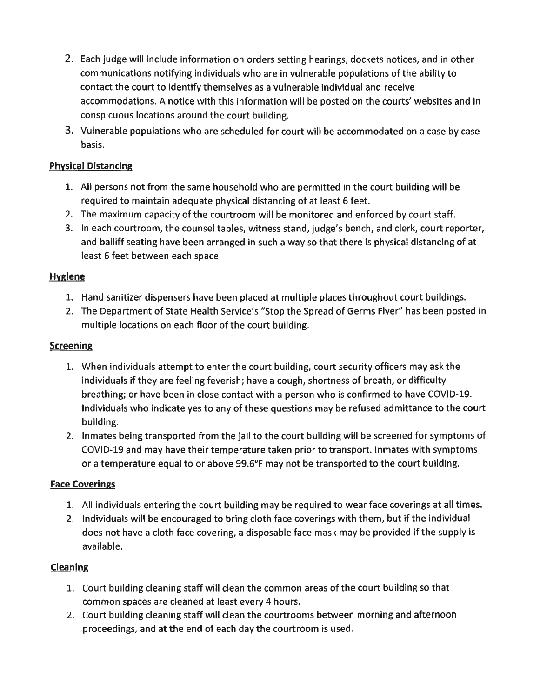- 2. Each judge will include information on orders setting hearings, dockets notices, and in other communications notifying individuals who are in vulnerable populations of the ability to contact the court to identify themselves as a vulnerable individual and receive accommodations. A notice with this information will be posted on the courts' websites and in conspicuous locations around the court building.
- 3. Vulnerable populations who are scheduled for court will be accommodated on a case by case basis.

#### **Physical Distancing**

- 1. All persons not from the same household who are permitted in the court building will be required to maintain adequate physical distancing of at least 6 feet.
- 2. The maximum capacity of the courtroom will be monitored and enforced by court staff.
- 3. In each courtroom, the counsel tables, witness stand, judge's bench, and clerk, court reporter, and bailiff seating have been arranged in such a way so that there is physical distancing of at least 6 feet between each space.

#### **Hygiene**

- 1. Hand sanitizer dispensers have been placed at multiple places throughout court buildings.
- 2. The Department of State Health Service's "Stop the Spread of Germs Flyer" has been posted in multiple locations on each floor of the court building.

#### **Screening**

- 1. When individuals attempt to enter the court building, court security officers may ask the individuals if they are feeling feverish; have a cough, shortness of breath, or difficulty breathing; or have been in close contact with a person who is confirmed to have COVID-19. Individuals who indicate yes to any of these questions may be refused admittance to the court building.
- 2. Inmates being transported from the jail to the court building will be screened for symptoms of COVID-19 and may have their temperature taken prior to transport. Inmates with symptoms or a temperature equal to or above 99.6°F may not be transported to the court building.

#### **Face Coverings**

- 1. All individuals entering the court building may be required to wear face coverings at all times.
- 2. Individuals will be encouraged to bring cloth face coverings with them, but if the individual does not have a cloth face covering, a disposable face mask may be provided if the supply is available.

## **Cleaning**

- 1. Court building cleaning staff will clean the common areas of the court building so that common spaces are cleaned at least every 4 hours.
- 2. Court building cleaning staff will clean the courtrooms between morning and afternoon proceedings, and at the end of each day the courtroom is used.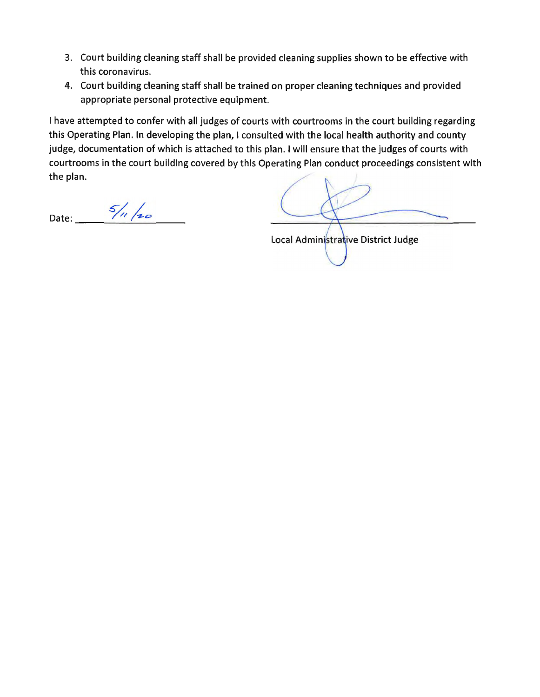- 3. Court building cleaning staff shall be provided cleaning supplies shown to be effective with this coronavirus.
- 4. Court building cleaning staff shall be trained on proper cleaning techniques and provided appropriate personal protective equipment.

I have attempted to confer with all judges of courts with courtrooms in the court building regarding this Operating Plan. In developing the plan, I consulted with the local health authority and county judge, documentation of which is attached to this plan. I will ensure that the judges of courts with courtrooms in the court building covered by this Operating Plan conduct proceedings consistent with the plan.

Date: 5/11/20

Local Administrative District Judge